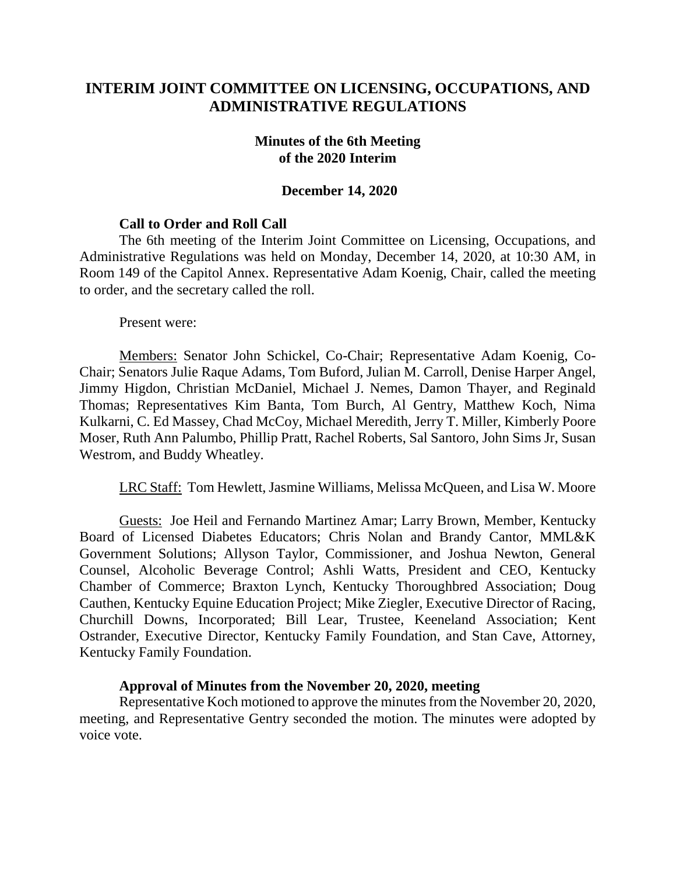# **INTERIM JOINT COMMITTEE ON LICENSING, OCCUPATIONS, AND ADMINISTRATIVE REGULATIONS**

#### **Minutes of the 6th Meeting of the 2020 Interim**

#### **December 14, 2020**

### **Call to Order and Roll Call**

The 6th meeting of the Interim Joint Committee on Licensing, Occupations, and Administrative Regulations was held on Monday, December 14, 2020, at 10:30 AM, in Room 149 of the Capitol Annex. Representative Adam Koenig, Chair, called the meeting to order, and the secretary called the roll.

Present were:

Members: Senator John Schickel, Co-Chair; Representative Adam Koenig, Co-Chair; Senators Julie Raque Adams, Tom Buford, Julian M. Carroll, Denise Harper Angel, Jimmy Higdon, Christian McDaniel, Michael J. Nemes, Damon Thayer, and Reginald Thomas; Representatives Kim Banta, Tom Burch, Al Gentry, Matthew Koch, Nima Kulkarni, C. Ed Massey, Chad McCoy, Michael Meredith, Jerry T. Miller, Kimberly Poore Moser, Ruth Ann Palumbo, Phillip Pratt, Rachel Roberts, Sal Santoro, John Sims Jr, Susan Westrom, and Buddy Wheatley.

LRC Staff: Tom Hewlett, Jasmine Williams, Melissa McQueen, and Lisa W. Moore

Guests: Joe Heil and Fernando Martinez Amar; Larry Brown, Member, Kentucky Board of Licensed Diabetes Educators; Chris Nolan and Brandy Cantor, MML&K Government Solutions; Allyson Taylor, Commissioner, and Joshua Newton, General Counsel, Alcoholic Beverage Control; Ashli Watts, President and CEO, Kentucky Chamber of Commerce; Braxton Lynch, Kentucky Thoroughbred Association; Doug Cauthen, Kentucky Equine Education Project; Mike Ziegler, Executive Director of Racing, Churchill Downs, Incorporated; Bill Lear, Trustee, Keeneland Association; Kent Ostrander, Executive Director, Kentucky Family Foundation, and Stan Cave, Attorney, Kentucky Family Foundation.

#### **Approval of Minutes from the November 20, 2020, meeting**

Representative Koch motioned to approve the minutes from the November 20, 2020, meeting, and Representative Gentry seconded the motion. The minutes were adopted by voice vote.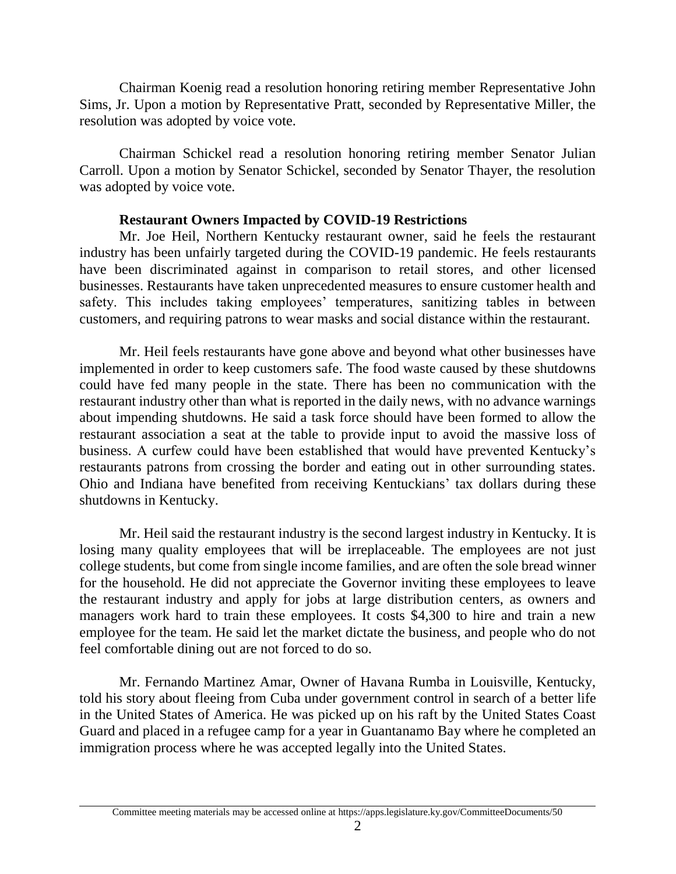Chairman Koenig read a resolution honoring retiring member Representative John Sims, Jr. Upon a motion by Representative Pratt, seconded by Representative Miller, the resolution was adopted by voice vote.

Chairman Schickel read a resolution honoring retiring member Senator Julian Carroll. Upon a motion by Senator Schickel, seconded by Senator Thayer, the resolution was adopted by voice vote.

### **Restaurant Owners Impacted by COVID-19 Restrictions**

Mr. Joe Heil, Northern Kentucky restaurant owner, said he feels the restaurant industry has been unfairly targeted during the COVID-19 pandemic. He feels restaurants have been discriminated against in comparison to retail stores, and other licensed businesses. Restaurants have taken unprecedented measures to ensure customer health and safety. This includes taking employees' temperatures, sanitizing tables in between customers, and requiring patrons to wear masks and social distance within the restaurant.

Mr. Heil feels restaurants have gone above and beyond what other businesses have implemented in order to keep customers safe. The food waste caused by these shutdowns could have fed many people in the state. There has been no communication with the restaurant industry other than what is reported in the daily news, with no advance warnings about impending shutdowns. He said a task force should have been formed to allow the restaurant association a seat at the table to provide input to avoid the massive loss of business. A curfew could have been established that would have prevented Kentucky's restaurants patrons from crossing the border and eating out in other surrounding states. Ohio and Indiana have benefited from receiving Kentuckians' tax dollars during these shutdowns in Kentucky.

Mr. Heil said the restaurant industry is the second largest industry in Kentucky. It is losing many quality employees that will be irreplaceable. The employees are not just college students, but come from single income families, and are often the sole bread winner for the household. He did not appreciate the Governor inviting these employees to leave the restaurant industry and apply for jobs at large distribution centers, as owners and managers work hard to train these employees. It costs \$4,300 to hire and train a new employee for the team. He said let the market dictate the business, and people who do not feel comfortable dining out are not forced to do so.

Mr. Fernando Martinez Amar, Owner of Havana Rumba in Louisville, Kentucky, told his story about fleeing from Cuba under government control in search of a better life in the United States of America. He was picked up on his raft by the United States Coast Guard and placed in a refugee camp for a year in Guantanamo Bay where he completed an immigration process where he was accepted legally into the United States.

Committee meeting materials may be accessed online at https://apps.legislature.ky.gov/CommitteeDocuments/50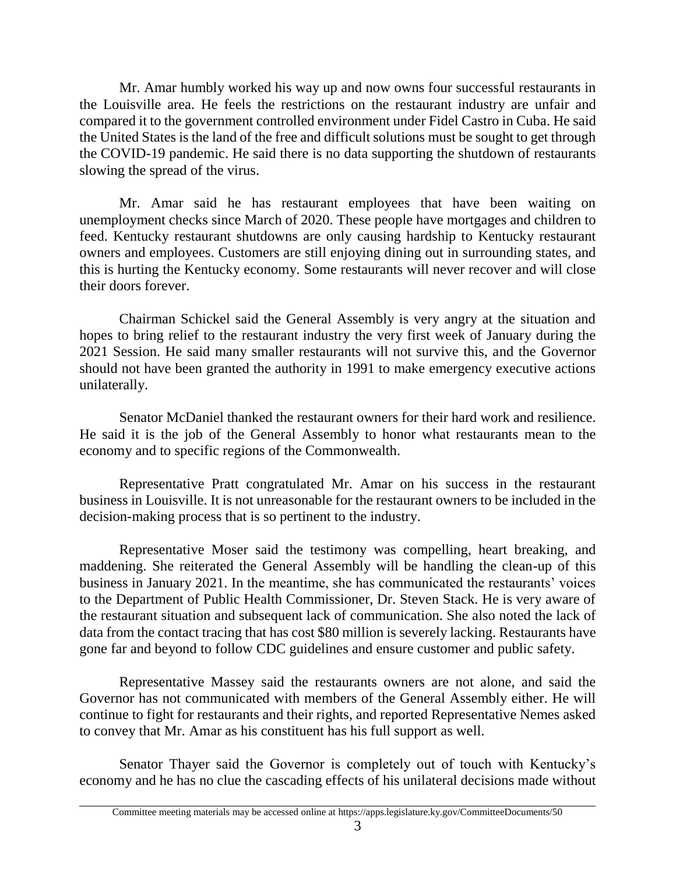Mr. Amar humbly worked his way up and now owns four successful restaurants in the Louisville area. He feels the restrictions on the restaurant industry are unfair and compared it to the government controlled environment under Fidel Castro in Cuba. He said the United States is the land of the free and difficult solutions must be sought to get through the COVID-19 pandemic. He said there is no data supporting the shutdown of restaurants slowing the spread of the virus.

Mr. Amar said he has restaurant employees that have been waiting on unemployment checks since March of 2020. These people have mortgages and children to feed. Kentucky restaurant shutdowns are only causing hardship to Kentucky restaurant owners and employees. Customers are still enjoying dining out in surrounding states, and this is hurting the Kentucky economy. Some restaurants will never recover and will close their doors forever.

Chairman Schickel said the General Assembly is very angry at the situation and hopes to bring relief to the restaurant industry the very first week of January during the 2021 Session. He said many smaller restaurants will not survive this, and the Governor should not have been granted the authority in 1991 to make emergency executive actions unilaterally.

Senator McDaniel thanked the restaurant owners for their hard work and resilience. He said it is the job of the General Assembly to honor what restaurants mean to the economy and to specific regions of the Commonwealth.

Representative Pratt congratulated Mr. Amar on his success in the restaurant business in Louisville. It is not unreasonable for the restaurant owners to be included in the decision-making process that is so pertinent to the industry.

Representative Moser said the testimony was compelling, heart breaking, and maddening. She reiterated the General Assembly will be handling the clean-up of this business in January 2021. In the meantime, she has communicated the restaurants' voices to the Department of Public Health Commissioner, Dr. Steven Stack. He is very aware of the restaurant situation and subsequent lack of communication. She also noted the lack of data from the contact tracing that has cost \$80 million is severely lacking. Restaurants have gone far and beyond to follow CDC guidelines and ensure customer and public safety.

Representative Massey said the restaurants owners are not alone, and said the Governor has not communicated with members of the General Assembly either. He will continue to fight for restaurants and their rights, and reported Representative Nemes asked to convey that Mr. Amar as his constituent has his full support as well.

Senator Thayer said the Governor is completely out of touch with Kentucky's economy and he has no clue the cascading effects of his unilateral decisions made without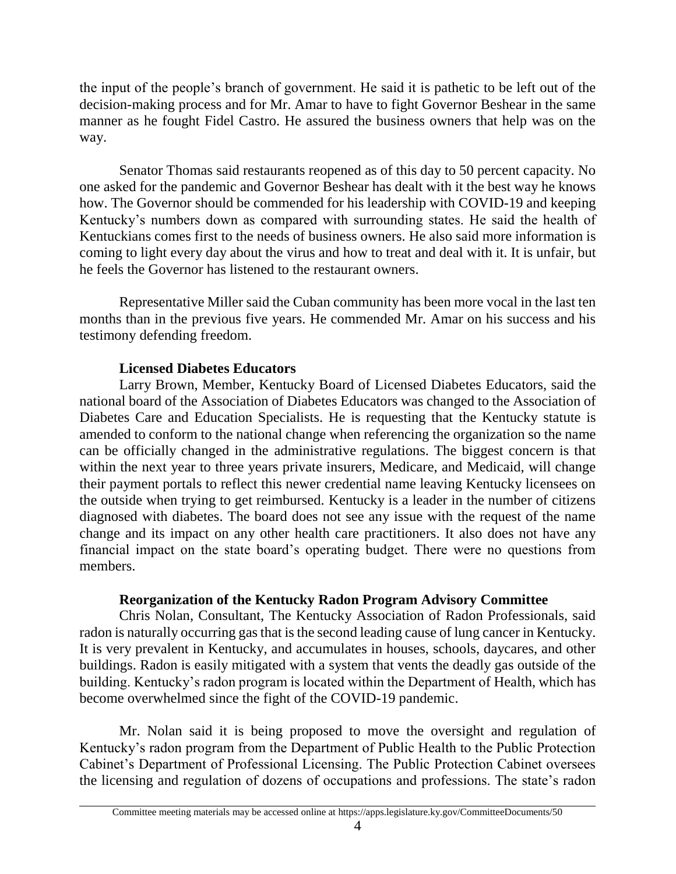the input of the people's branch of government. He said it is pathetic to be left out of the decision-making process and for Mr. Amar to have to fight Governor Beshear in the same manner as he fought Fidel Castro. He assured the business owners that help was on the way.

Senator Thomas said restaurants reopened as of this day to 50 percent capacity. No one asked for the pandemic and Governor Beshear has dealt with it the best way he knows how. The Governor should be commended for his leadership with COVID-19 and keeping Kentucky's numbers down as compared with surrounding states. He said the health of Kentuckians comes first to the needs of business owners. He also said more information is coming to light every day about the virus and how to treat and deal with it. It is unfair, but he feels the Governor has listened to the restaurant owners.

Representative Miller said the Cuban community has been more vocal in the last ten months than in the previous five years. He commended Mr. Amar on his success and his testimony defending freedom.

## **Licensed Diabetes Educators**

Larry Brown, Member, Kentucky Board of Licensed Diabetes Educators, said the national board of the Association of Diabetes Educators was changed to the Association of Diabetes Care and Education Specialists. He is requesting that the Kentucky statute is amended to conform to the national change when referencing the organization so the name can be officially changed in the administrative regulations. The biggest concern is that within the next year to three years private insurers, Medicare, and Medicaid, will change their payment portals to reflect this newer credential name leaving Kentucky licensees on the outside when trying to get reimbursed. Kentucky is a leader in the number of citizens diagnosed with diabetes. The board does not see any issue with the request of the name change and its impact on any other health care practitioners. It also does not have any financial impact on the state board's operating budget. There were no questions from members.

# **Reorganization of the Kentucky Radon Program Advisory Committee**

Chris Nolan, Consultant, The Kentucky Association of Radon Professionals, said radon is naturally occurring gas that is the second leading cause of lung cancer in Kentucky. It is very prevalent in Kentucky, and accumulates in houses, schools, daycares, and other buildings. Radon is easily mitigated with a system that vents the deadly gas outside of the building. Kentucky's radon program is located within the Department of Health, which has become overwhelmed since the fight of the COVID-19 pandemic.

Mr. Nolan said it is being proposed to move the oversight and regulation of Kentucky's radon program from the Department of Public Health to the Public Protection Cabinet's Department of Professional Licensing. The Public Protection Cabinet oversees the licensing and regulation of dozens of occupations and professions. The state's radon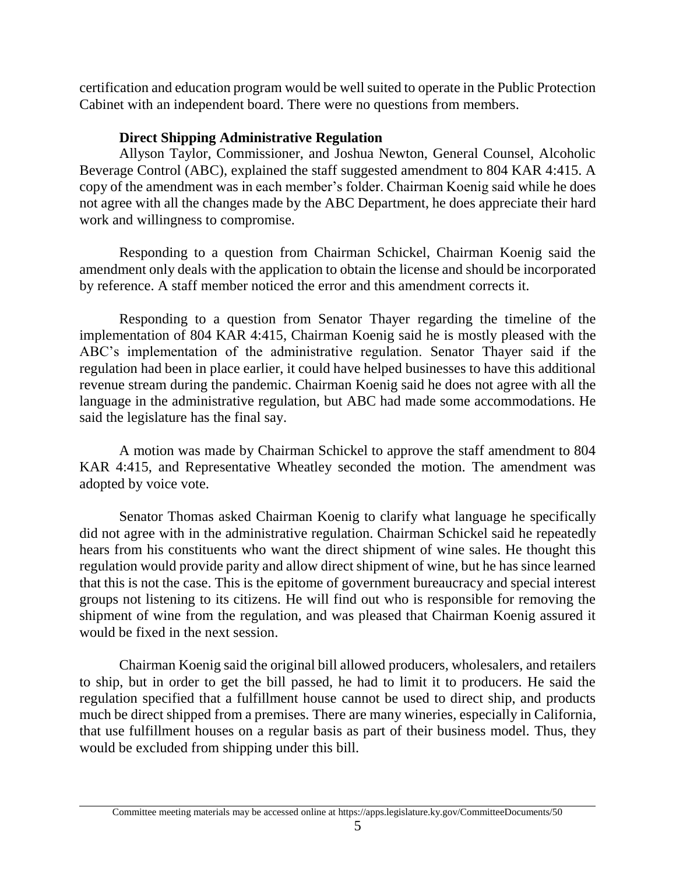certification and education program would be well suited to operate in the Public Protection Cabinet with an independent board. There were no questions from members.

## **Direct Shipping Administrative Regulation**

Allyson Taylor, Commissioner, and Joshua Newton, General Counsel, Alcoholic Beverage Control (ABC), explained the staff suggested amendment to 804 KAR 4:415. A copy of the amendment was in each member's folder. Chairman Koenig said while he does not agree with all the changes made by the ABC Department, he does appreciate their hard work and willingness to compromise.

Responding to a question from Chairman Schickel, Chairman Koenig said the amendment only deals with the application to obtain the license and should be incorporated by reference. A staff member noticed the error and this amendment corrects it.

Responding to a question from Senator Thayer regarding the timeline of the implementation of 804 KAR 4:415, Chairman Koenig said he is mostly pleased with the ABC's implementation of the administrative regulation. Senator Thayer said if the regulation had been in place earlier, it could have helped businesses to have this additional revenue stream during the pandemic. Chairman Koenig said he does not agree with all the language in the administrative regulation, but ABC had made some accommodations. He said the legislature has the final say.

A motion was made by Chairman Schickel to approve the staff amendment to 804 KAR 4:415, and Representative Wheatley seconded the motion. The amendment was adopted by voice vote.

Senator Thomas asked Chairman Koenig to clarify what language he specifically did not agree with in the administrative regulation. Chairman Schickel said he repeatedly hears from his constituents who want the direct shipment of wine sales. He thought this regulation would provide parity and allow direct shipment of wine, but he has since learned that this is not the case. This is the epitome of government bureaucracy and special interest groups not listening to its citizens. He will find out who is responsible for removing the shipment of wine from the regulation, and was pleased that Chairman Koenig assured it would be fixed in the next session.

Chairman Koenig said the original bill allowed producers, wholesalers, and retailers to ship, but in order to get the bill passed, he had to limit it to producers. He said the regulation specified that a fulfillment house cannot be used to direct ship, and products much be direct shipped from a premises. There are many wineries, especially in California, that use fulfillment houses on a regular basis as part of their business model. Thus, they would be excluded from shipping under this bill.

Committee meeting materials may be accessed online at https://apps.legislature.ky.gov/CommitteeDocuments/50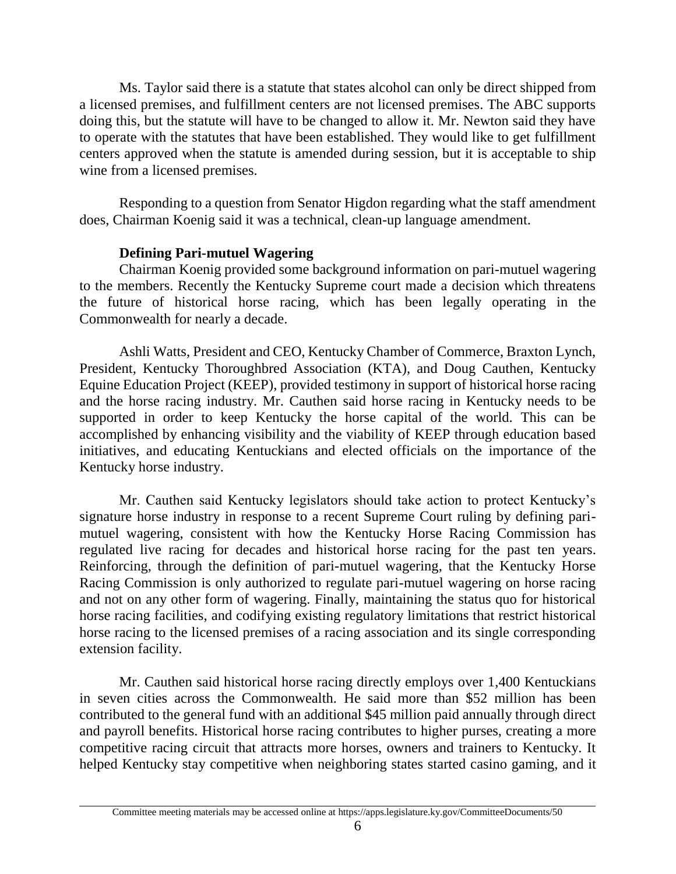Ms. Taylor said there is a statute that states alcohol can only be direct shipped from a licensed premises, and fulfillment centers are not licensed premises. The ABC supports doing this, but the statute will have to be changed to allow it. Mr. Newton said they have to operate with the statutes that have been established. They would like to get fulfillment centers approved when the statute is amended during session, but it is acceptable to ship wine from a licensed premises.

Responding to a question from Senator Higdon regarding what the staff amendment does, Chairman Koenig said it was a technical, clean-up language amendment.

### **Defining Pari-mutuel Wagering**

Chairman Koenig provided some background information on pari-mutuel wagering to the members. Recently the Kentucky Supreme court made a decision which threatens the future of historical horse racing, which has been legally operating in the Commonwealth for nearly a decade.

Ashli Watts, President and CEO, Kentucky Chamber of Commerce, Braxton Lynch, President, Kentucky Thoroughbred Association (KTA), and Doug Cauthen, Kentucky Equine Education Project (KEEP), provided testimony in support of historical horse racing and the horse racing industry. Mr. Cauthen said horse racing in Kentucky needs to be supported in order to keep Kentucky the horse capital of the world. This can be accomplished by enhancing visibility and the viability of KEEP through education based initiatives, and educating Kentuckians and elected officials on the importance of the Kentucky horse industry.

Mr. Cauthen said Kentucky legislators should take action to protect Kentucky's signature horse industry in response to a recent Supreme Court ruling by defining parimutuel wagering, consistent with how the Kentucky Horse Racing Commission has regulated live racing for decades and historical horse racing for the past ten years. Reinforcing, through the definition of pari-mutuel wagering, that the Kentucky Horse Racing Commission is only authorized to regulate pari-mutuel wagering on horse racing and not on any other form of wagering. Finally, maintaining the status quo for historical horse racing facilities, and codifying existing regulatory limitations that restrict historical horse racing to the licensed premises of a racing association and its single corresponding extension facility.

Mr. Cauthen said historical horse racing directly employs over 1,400 Kentuckians in seven cities across the Commonwealth. He said more than \$52 million has been contributed to the general fund with an additional \$45 million paid annually through direct and payroll benefits. Historical horse racing contributes to higher purses, creating a more competitive racing circuit that attracts more horses, owners and trainers to Kentucky. It helped Kentucky stay competitive when neighboring states started casino gaming, and it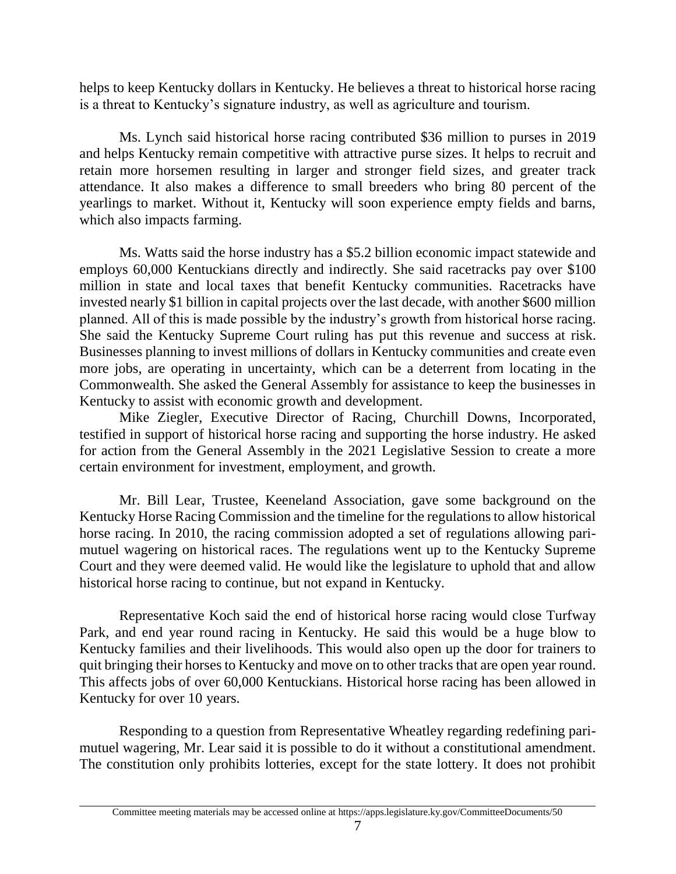helps to keep Kentucky dollars in Kentucky. He believes a threat to historical horse racing is a threat to Kentucky's signature industry, as well as agriculture and tourism.

Ms. Lynch said historical horse racing contributed \$36 million to purses in 2019 and helps Kentucky remain competitive with attractive purse sizes. It helps to recruit and retain more horsemen resulting in larger and stronger field sizes, and greater track attendance. It also makes a difference to small breeders who bring 80 percent of the yearlings to market. Without it, Kentucky will soon experience empty fields and barns, which also impacts farming.

Ms. Watts said the horse industry has a \$5.2 billion economic impact statewide and employs 60,000 Kentuckians directly and indirectly. She said racetracks pay over \$100 million in state and local taxes that benefit Kentucky communities. Racetracks have invested nearly \$1 billion in capital projects over the last decade, with another \$600 million planned. All of this is made possible by the industry's growth from historical horse racing. She said the Kentucky Supreme Court ruling has put this revenue and success at risk. Businesses planning to invest millions of dollars in Kentucky communities and create even more jobs, are operating in uncertainty, which can be a deterrent from locating in the Commonwealth. She asked the General Assembly for assistance to keep the businesses in Kentucky to assist with economic growth and development.

Mike Ziegler, Executive Director of Racing, Churchill Downs, Incorporated, testified in support of historical horse racing and supporting the horse industry. He asked for action from the General Assembly in the 2021 Legislative Session to create a more certain environment for investment, employment, and growth.

Mr. Bill Lear, Trustee, Keeneland Association, gave some background on the Kentucky Horse Racing Commission and the timeline for the regulations to allow historical horse racing. In 2010, the racing commission adopted a set of regulations allowing parimutuel wagering on historical races. The regulations went up to the Kentucky Supreme Court and they were deemed valid. He would like the legislature to uphold that and allow historical horse racing to continue, but not expand in Kentucky.

Representative Koch said the end of historical horse racing would close Turfway Park, and end year round racing in Kentucky. He said this would be a huge blow to Kentucky families and their livelihoods. This would also open up the door for trainers to quit bringing their horses to Kentucky and move on to other tracks that are open year round. This affects jobs of over 60,000 Kentuckians. Historical horse racing has been allowed in Kentucky for over 10 years.

Responding to a question from Representative Wheatley regarding redefining parimutuel wagering, Mr. Lear said it is possible to do it without a constitutional amendment. The constitution only prohibits lotteries, except for the state lottery. It does not prohibit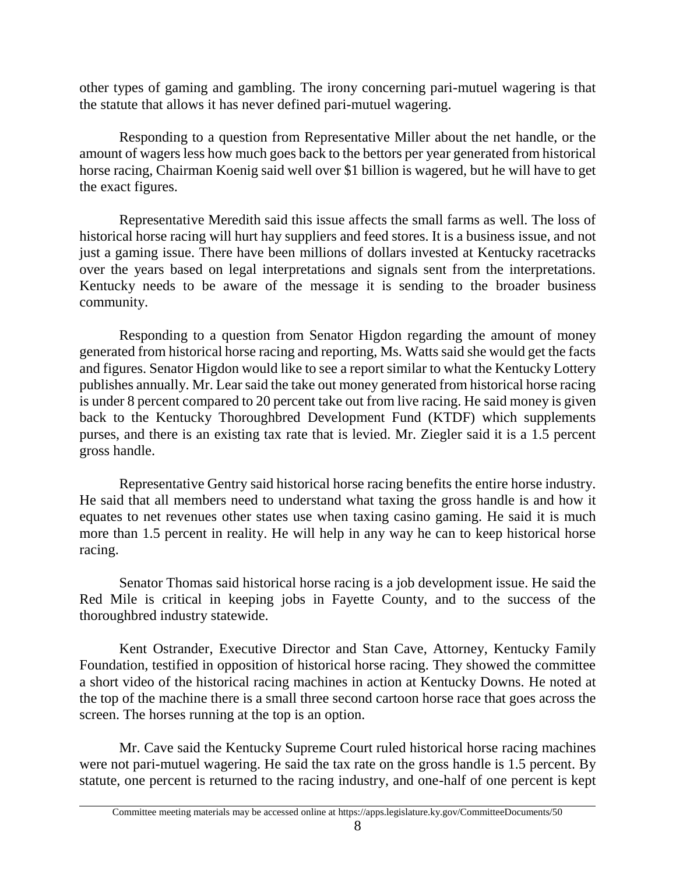other types of gaming and gambling. The irony concerning pari-mutuel wagering is that the statute that allows it has never defined pari-mutuel wagering.

Responding to a question from Representative Miller about the net handle, or the amount of wagers less how much goes back to the bettors per year generated from historical horse racing, Chairman Koenig said well over \$1 billion is wagered, but he will have to get the exact figures.

Representative Meredith said this issue affects the small farms as well. The loss of historical horse racing will hurt hay suppliers and feed stores. It is a business issue, and not just a gaming issue. There have been millions of dollars invested at Kentucky racetracks over the years based on legal interpretations and signals sent from the interpretations. Kentucky needs to be aware of the message it is sending to the broader business community.

Responding to a question from Senator Higdon regarding the amount of money generated from historical horse racing and reporting, Ms. Watts said she would get the facts and figures. Senator Higdon would like to see a report similar to what the Kentucky Lottery publishes annually. Mr. Lear said the take out money generated from historical horse racing is under 8 percent compared to 20 percent take out from live racing. He said money is given back to the Kentucky Thoroughbred Development Fund (KTDF) which supplements purses, and there is an existing tax rate that is levied. Mr. Ziegler said it is a 1.5 percent gross handle.

Representative Gentry said historical horse racing benefits the entire horse industry. He said that all members need to understand what taxing the gross handle is and how it equates to net revenues other states use when taxing casino gaming. He said it is much more than 1.5 percent in reality. He will help in any way he can to keep historical horse racing.

Senator Thomas said historical horse racing is a job development issue. He said the Red Mile is critical in keeping jobs in Fayette County, and to the success of the thoroughbred industry statewide.

Kent Ostrander, Executive Director and Stan Cave, Attorney, Kentucky Family Foundation, testified in opposition of historical horse racing. They showed the committee a short video of the historical racing machines in action at Kentucky Downs. He noted at the top of the machine there is a small three second cartoon horse race that goes across the screen. The horses running at the top is an option.

Mr. Cave said the Kentucky Supreme Court ruled historical horse racing machines were not pari-mutuel wagering. He said the tax rate on the gross handle is 1.5 percent. By statute, one percent is returned to the racing industry, and one-half of one percent is kept